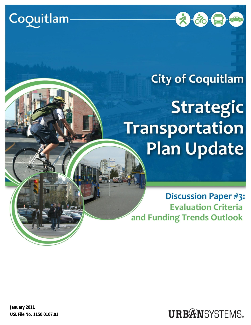



## **City of Coquitlam**

# **Strategic** Transportation **Plan Update**

**Discussion Paper #3: Evaluation Criteria** and Funding Trends Outlook

**January 2011 USL File No. 1150.0107.01**

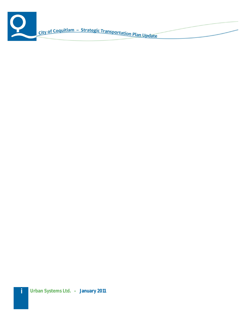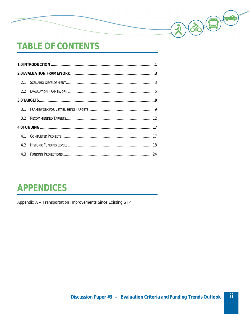## **TABLE OF CONTENTS**

## **APPENDICES**

Appendix A - Transportation Improvements Since Existing STP

2 66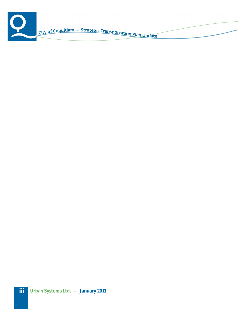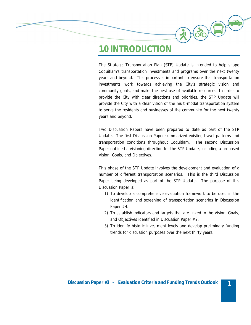### **1.0 INTRODUCTION**

The Strategic Transportation Plan (STP) Update is intended to help shape Coquitlam's transportation investments and programs over the next twenty years and beyond. This process is important to ensure that transportation investments work towards achieving the City's strategic vision and community goals, and make the best use of available resources. In order to provide the City with clear directions and priorities, the STP Update will provide the City with a clear vision of the multi-modal transportation system to serve the residents and businesses of the community for the next twenty years and beyond.

 $H_{\text{OD}}($ 

Two Discussion Papers have been prepared to date as part of the STP Update. The first Discussion Paper summarized existing travel patterns and transportation conditions throughout Coquitlam. The second Discussion Paper outlined a visioning direction for the STP Update, including a proposed Vision, Goals, and Objectives.

This phase of the STP Update involves the development and evaluation of a number of different transportation scenarios. This is the third Discussion Paper being developed as part of the STP Update. The purpose of this Discussion Paper is:

- 1) To develop a comprehensive evaluation framework to be used in the identification and screening of transportation scenarios in Discussion Paper #4.
- 2) To establish indicators and targets that are linked to the Vision, Goals, and Objectives identified in Discussion Paper #2.
- 3) To identify historic investment levels and develop preliminary funding trends for discussion purposes over the next thirty years.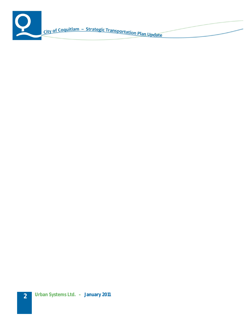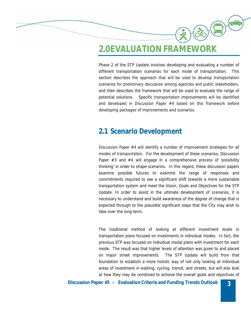### **2.0EVALUATION FRAMEWORK**

Phase 2 of the STP Update involves developing and evaluating a number of different transportation scenarios for each mode of transportation. This section describes the approach that will be used to develop transportation scenarios for preliminary discussion among agencies and public stakeholders, and then describes the framework that will be used to evaluate the range of potential solutions. Specific transportation improvements will be identified and developed in Discussion Paper #4 based on this framework before developing packages of improvements and scenarios.

36

#### **2.1 Scenario Development**

Discussion Paper #4 will identify a number of improvement strategies for all modes of transportation. For the development of these scenarios, Discussion Paper #3 and #4 will engage in a comprehensive process of 'possibility thinking' in order to shape scenarios. In this regard, these discussion papers examine possible futures to examine the range of responses and commitments required to see a significant shift towards a more sustainable transportation system and meet the Vision, Goals and Objectives for the STP Update. In order to assist in the ultimate development of scenarios, it is necessary to understand and build awareness of the degree of change that is expected through to the plausible significant steps that the City may wish to take over the long-term.

The traditional method of looking at different investment levels in transportation plans focused on investments in individual modes. In fact, the previous STP was focused on individual modal plans with investment for each mode. The result was that higher levels of attention was given to and placed on major street improvements. The STP Update will build from that foundation to establish a more holistic way of not only looking at individual areas of investment in walking, cycling, transit, and streets, but will also look at how they may be combined to achieve the overall goals and objectives of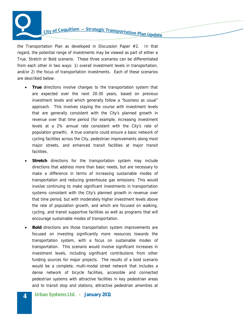

the Transportation Plan as developed in Discussion Paper #2. In that regard, the potential range of investments may be viewed as part of either a True, Stretch or Bold scenario. These three scenarios can be differentiated from each other in two ways: 1) overall investment levels in transportation, and/or 2) the focus of transportation investments. Each of these scenarios are described below:

- **•** True directions involve changes to the transportation system that are expected over the next 20-30 years, based on previous investment levels and which generally follow a "business as usual" approach. This involves staying the course with investment levels that are generally consistent with the City's planned growth in revenue over that time period (for example, increasing investment levels at a 2% annual rate consistent with the City's rate of population growth). A true scenario could ensure a basic network of cycling facilities across the City, pedestrian improvements along most major streets, and enhanced transit facilities at major transit facilities.
- Stretch directions for the transportation system may include directions that address more than basic needs, but are necessary to make a difference in terms of increasing sustainable modes of transportation and reducing greenhouse gas emissions. This would involve continuing to make significant investments in transportation systems consistent with the City's planned growth in revenue over that time period, but with moderately higher investment levels above the rate of population growth, and which are focused on walking, cycling, and transit supportive facilities as well as programs that will encourage sustainable modes of transportation.
- **•** Bold directions are those transportation system improvements are focused on investing significantly more resources towards the transportation system, with a focus on sustainable modes of transportation. This scenario would involve significant increases in investment levels, including significant contributions from other funding sources for major projects. The results of a bold scenario would be a complete, multi-modal street network that includes a dense network of bicycle facilities, accessible and connected pedestrian systems with attractive facilities in key pedestrian areas and to transit stop and stations, attractive pedestrian amenities at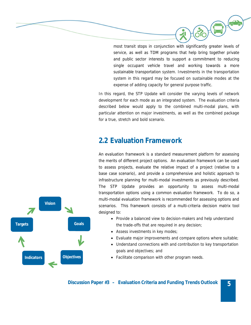most transit stops in conjunction with significantly greater levels of service, as well as TDM programs that help bring together private and public sector interests to support a commitment to reducing single occupant vehicle travel and working towards a more sustainable transportation system. Investments in the transportation system in this regard may be focused on sustainable modes at the expense of adding capacity for general purpose traffic.

In this regard, the STP Update will consider the varying levels of network development for each mode as an integrated system. The evaluation criteria described below would apply to the combined multi-modal plans, with particular attention on major investments, as well as the combined package for a true, stretch and bold scenario.

#### **2.2 Evaluation Framework**

An evaluation framework is a standard measurement platform for assessing the merits of different project options. An evaluation framework can be used to assess projects, evaluate the relative impact of a project (relative to a base case scenario), and provide a comprehensive and holistic approach to infrastructure planning for multi-modal investments as previously described. The STP Update provides an opportunity to assess multi-modal transportation options using a common evaluation framework. To do so, a multi-modal evaluation framework is recommended for assessing options and scenarios. This framework consists of a multi-criteria decision matrix tool designed to:

- Provide a balanced view to decision-makers and help understand the trade-offs that are required in any decision;
- Assess investments in key modes;
- Evaluate major improvements and compare options where suitable;
- Understand connections with and contribution to key transportation goals and objectives; and
- Facilitate comparison with other program needs.



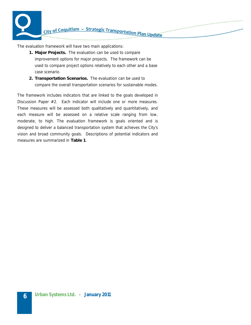

The evaluation framework will have two main applications:

- **1. Major Projects.** The evaluation can be used to compare improvement options for major projects. The framework can be used to compare project options relatively to each other and a base case scenario.
- **2. Transportation Scenarios.** The evaluation can be used to compare the overall transportation scenarios for sustainable modes.

The framework includes indicators that are linked to the goals developed in Discussion Paper #2. Each indicator will include one or more measures. These measures will be assessed both qualitatively and quantitatively, and each measure will be assessed on a relative scale ranging from low, moderate, to high. The evaluation framework is goals oriented and is designed to deliver a balanced transportation system that achieves the City's vision and broad community goals. Descriptions of potential indicators and measures are summarized in **Table 1**.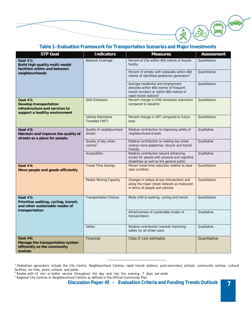

#### **Table 1 –Evaluation Framework for Transportation Scenarios and Major Investments**

| <b>STP Goal</b>                                                                                          | Indicators                                   | <b>Measures</b>                                                                                                                                                   | Assessment   |
|----------------------------------------------------------------------------------------------------------|----------------------------------------------|-------------------------------------------------------------------------------------------------------------------------------------------------------------------|--------------|
| Goal $#1$ :<br>Build high quality multi-modal<br>facilities within and between                           | Network Coverage                             | Percent of City within 400 metres of bicycle<br>facility                                                                                                          | Quantitative |
| neighbourhoods                                                                                           |                                              | Percent of streets with sidewalks within 400<br>metres of identified pedestrian generators <sup>1</sup>                                                           | Quantitative |
|                                                                                                          |                                              | Average residential and employment<br>densities within 400 metres of frequent<br>transit corridors or within 800 metres of<br>rapid transit stations <sup>2</sup> | Quantitative |
| Goal $#2$ :<br>Develop transportation<br>infrastructure and services to<br>support a healthy environment | <b>GHG Emissions</b>                         | Percent change in GHG emissions reductions<br>compared to baseline                                                                                                | Quantitative |
|                                                                                                          | Vehicle Kilometres<br>Travelled (VKT)        | Percent change in VKT compared to future<br>base                                                                                                                  | Quantitative |
| Goal $#3$ :<br>Maintain and improve the quality of<br>streets as a place for people.                     | Quality of neighbourhood<br>streets          | Relative contribution to improving safety of<br>neighbourhood streets                                                                                             | Qualitative  |
|                                                                                                          | Quality of key urban<br>centres <sup>3</sup> | Relative contribution to making key urban<br>centres more pedestrian, bicycle and transit<br>friendly                                                             | Qualitative  |
|                                                                                                          | Accessibility                                | Relative contribution toward enhancing<br>access for people with physical and cognitive<br>disabilities as well as the general public                             | Qualitative  |
| Goal $#4$ :<br>Move people and goods efficiently                                                         | <b>Travel Time Savings</b>                   | Person travel time reduction relative to base<br>case condition                                                                                                   | Quantitative |
|                                                                                                          | <b>People Moving Capacity</b>                | Changes in delays at key intersections and<br>along the major street network as measured<br>in terms of people and vehicles                                       | Quantitative |
| Goal $#5$ :<br>Prioritize walking, cycling, transit,<br>and other sustainable modes of                   | <b>Transportation Choices</b>                | Mode shift to walking, cycling and transit                                                                                                                        | Quantitative |
| transportation                                                                                           |                                              | Attractiveness of sustainable modes of<br>transportation                                                                                                          | Qualitative  |
|                                                                                                          | Safety                                       | Relative contribution towards improving<br>safety for all street users                                                                                            | Qualitative  |
| Goal $#6$ :<br>Manage the transportation system<br>efficiently as the community<br>evolves               | Financial                                    | Class D cost estimates                                                                                                                                            | Quantitative |

<sup>&</sup>lt;sup>1</sup> Pedestrian generators include the City Centre, Neighbourhood Centres, rapid transit stations, post-secondary schools, community centres, cultural facilities, ice rinks, pools, schools, and parks.

<sup>&</sup>lt;sup>2</sup> Routes with 15 min or better service throughout the day and into the evening, 7 days per week<br><sup>3</sup> Regional City Centres or Neighbourhood Centres as defined in the Official Community Plan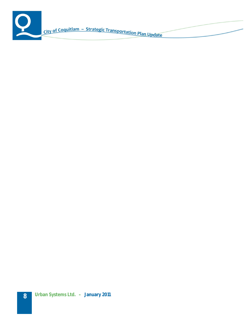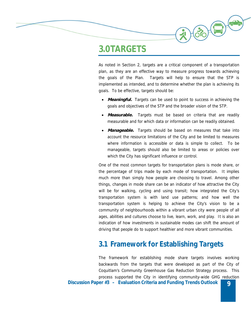### **3.0TARGETS**

As noted in Section 2, targets are a critical component of a transportation plan, as they are an effective way to measure progress towards achieving the goals of the Plan. Targets will help to ensure that the STP is implemented as intended, and to determine whether the plan is achieving its goals. To be effective, targets should be:

利命号

- Meaningful. Targets can be used to point to success in achieving the goals and objectives of the STP and the broader vision of the STP.
- Measurable. Targets must be based on criteria that are readily measurable and for which data or information can be readily obtained.
- Manageable. Targets should be based on measures that take into account the resource limitations of the City and be limited to measures where information is accessible or data is simple to collect. To be manageable, targets should also be limited to areas or policies over which the City has significant influence or control.

One of the most common targets for transportation plans is mode share, or the percentage of trips made by each mode of transportation. It implies much more than simply how people are choosing to travel. Among other things, changes in mode share can be an indicator of how attractive the City will be for walking, cycling and using transit; how integrated the City's transportation system is with land use patterns; and how well the transportation system is helping to achieve the City's vision to be a community of neighbourhoods within a vibrant urban city were people of all ages, abilities and cultures choose to live, learn, work, and play. It is also an indication of how investments in sustainable modes can shift the amount of driving that people do to support healthier and more vibrant communities.

#### **3.1 Framework for Establishing Targets**

**Discussion Paper #3** – Evaluation Criteria and Funding Trends Outlook **9** The framework for establishing mode share targets involves working backwards from the targets that were developed as part of the City of Coquitlam's Community Greenhouse Gas Reduction Strategy process. This process supported the City in identifying community-wide GHG reduction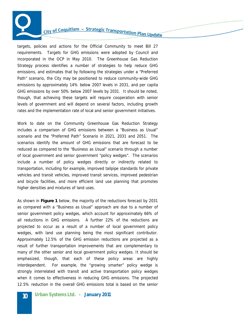## City of Coquitlam - Strategic Transportation Plan Update

targets, policies and actions for the Official Community to meet Bill 27 requirements. Targets for GHG emissions were adopted by Council and incorporated in the OCP in May 2010. The Greenhouse Gas Reduction Strategy process identifies a number of strategies to help reduce GHG emissions, and estimates that by following the strategies under a "Preferred Path" scenario, the City may be positioned to reduce community-wide GHG emissions by approximately 14% below 2007 levels in 2031, and per capita GHG emissions by over 50% below 2007 levels by 2031. It should be noted, though, that achieving these targets will require cooperation with senior levels of government and will depend on several factors, including growth rates and the implementation rate of local and senior government initiatives.

Work to date on the Community Greenhouse Gas Reduction Strategy includes a comparison of GHG emissions between a "Business as Usual" scenario and the "Preferred Path" Scenario in 2021, 2031 and 2051. The scenarios identify the amount of GHG emissions that are forecast to be reduced as compared to the "Business as Usual" scenario through a number of local government and senior government "policy wedges". The scenarios include a number of policy wedges directly or indirectly related to transportation, including for example, improved tailpipe standards for private vehicles and transit vehicles, improved transit services, improved pedestrian and bicycle facilities, and more efficient land use planning that promotes higher densities and mixtures of land uses.

As shown in **Figure 1** below, the majority of the reductions forecast by 2031 as compared with a "Business as Usual" approach are due to a number of senior government policy wedges, which account for approximately 66% of all reductions in GHG emissions. A further 22% of the reductions are projected to occur as a result of a number of local government policy wedges, with land use planning being the most significant contributor. Approximately 12.5% of the GHG emission reductions are projected as a result of further transportation improvements that are complementary to many of the other senior and local government policy wedges. It should be emphasized, though, that each of these policy areas are highly interdependent. For example, the "growing smarter" policy wedge is strongly interrelated with transit and active transportation policy wedges when it comes to effectiveness in reducing GHG emissions. The projected 12.5% reduction in the overall GHG emissions total is based on the senior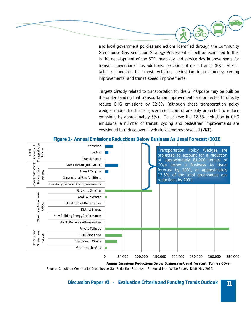and local government policies and actions identified through the Community Greenhouse Gas Reduction Strategy Process which will be examined further in the development of the STP: headway and service day improvements for transit; conventional bus additions; provision of mass transit (BRT, ALRT); tailpipe standards for transit vehicles; pedestrian improvements; cycling improvements; and transit speed improvements.

Targets directly related to transportation for the STP Update may be built on the understanding that transportation improvements are projected to directly reduce GHG emissions by 12.5% (although those transportation policy wedges under direct local government control are only projected to reduce emissions by approximately 5%). To achieve the 12.5% reduction in GHG emissions, a number of transit, cycling and pedestrian improvements are envisioned to reduce overall vehicle kilometres travelled (VKT).



#### **Figure 1 – Annual Emissions Reductions Below Business As Usual Forecast (2031)**

**Annual Emissions Reductions Below Business as Usual Forecast (Tonnes CO2e)**

Source: Coquitlam Community Greenhouse Gas Reduction Strategy – Preferred Path White Paper. Draft May 2010.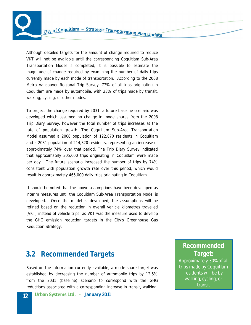Although detailed targets for the amount of change required to reduce VKT will not be available until the corresponding Coquitlam Sub-Area Transportation Model is completed, it is possible to estimate the magnitude of change required by examining the number of daily trips currently made by each mode of transportation. According to the 2008 Metro Vancouver Regional Trip Survey, 77% of all trips originating in Coquitlam are made by automobile, with 23% of trips made by transit, walking, cycling, or other modes.

To project the change required by 2031, a future baseline scenario was developed which assumed no change in mode shares from the 2008 Trip Diary Survey, however the total number of trips increases at the rate of population growth. The Coquitlam Sub-Area Transportation Model assumed a 2008 population of 122,870 residents in Coquitlam and a 2031 population of 214,320 residents, representing an increase of approximately 74% over that period. The Trip Diary Survey indicated that approximately 305,000 trips originating in Coquitlam were made per day. The future scenario increased the number of trips by 74% consistent with population growth rate over this period, which would result in approximately 465,000 daily trips originating in Coquitlam.

It should be noted that the above assumptions have been developed as interim measures until the Coquitlam Sub-Area Transportation Model is developed. Once the model is developed, the assumptions will be refined based on the reduction in overall vehicle kilometres travelled (VKT) instead of vehicle trips, as VKT was the measure used to develop the GHG emission reduction targets in the City's Greenhouse Gas Reduction Strategy.

#### **3.2 Recommended Targets**

Based on the information currently available, a mode share target was established by decreasing the number of automobile trips by 12.5% from the 2031 (baseline) scenario to correspond with the GHG reductions associated with a corresponding increase in transit, walking,

**Urban Systems Ltd. – January 2011 12**

**Recommended Target:** Approximately 30% of all trips made by Coquitlam residents will be by walking, cycling, or transit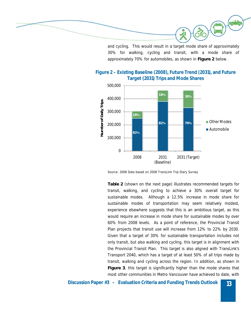

and cycling. This would result in a target mode share of approximately 30% for walking, cycling and transit, with a mode share of approximately 70% for automobiles, as shown in **Figure 2** below.



#### **Figure 2 – Existing Baseline (2008), Future Trend (2031), and Future Target (2031) Trips and Mode Shares**

Source: 2008 Data based on 2008 TransLink Trip Diary Survey

**Table 2** (shown on the next page) illustrates recommended targets for transit, walking, and cycling to achieve a 30% overall target for sustainable modes. Although a 12.5% increase in mode share for sustainable modes of transportation may seem relatively modest, experience elsewhere suggests that this is an ambitious target, as this would require an increase in mode share for sustainable modes by over 60% from 2008 levels. As a point of reference, the Provincial Transit Plan projects that transit use will increase from 12% to 22% by 2030. Given that a target of 30% for sustainable transportation includes not only transit, but also walking and cycling, this target is in alignment with the Provincial Transit Plan. This target is also aligned with TransLink's Transport 2040, which has a target of at least 50% of all trips made by transit, walking and cycling across the region. In addition, as shown in **Figure 3**, this target is significantly higher than the mode shares that most other communities in Metro Vancouver have achieved to date, with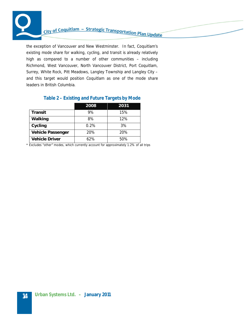

## City of Coquitlam - Strategic Transportation Plan Update

the exception of Vancouver and New Westminster. In fact, Coquitlam's existing mode share for walking, cycling, and transit is already relatively high as compared to a number of other communities – including Richmond, West Vancouver, North Vancouver District, Port Coquitlam, Surrey, White Rock, Pitt Meadows, Langley Township and Langley City – and this target would position Coquitlam as one of the mode share leaders in British Columbia.

#### **Table 2 – Existing and Future Targets by Mode**

|                       | 2008 | 2031 |
|-----------------------|------|------|
| Transit               | 9%   | 15%  |
| Walking               | 8%   | 12%  |
| Cycling               | 0.2% | 3%   |
| Vehicle Passenger     | 20%  | 20%  |
| <b>Vehicle Driver</b> | 62%  | 50%  |

\* Excludes "other" modes, which currently account for approximately 1.2% of all trips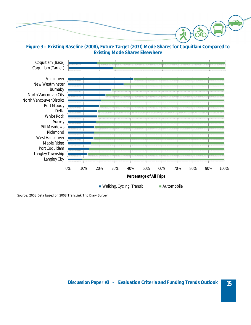

**Figure 3 – Existing Baseline (2008), Future Target (2031) Mode Shares for Coquitlam Compared to Existing Mode Shares Elsewhere**



Source: 2008 Data based on 2008 TransLink Trip Diary Survey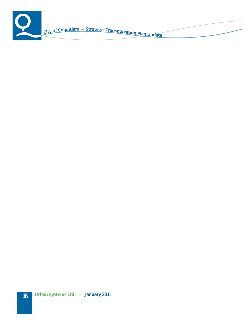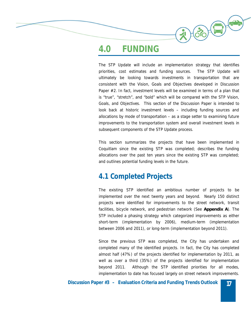

### **4.0 FUNDING**

The STP Update will include an implementation strategy that identifies priorities, cost estimates and funding sources. The STP Update will ultimately be looking towards investments in transportation that are consistent with the Vision, Goals and Objectives developed in Discussion Paper #2. In fact, investment levels will be examined in terms of a plan that is "true", "stretch", and "bold" which will be compared with the STP Vision, Goals, and Objectives. This section of the Discussion Paper is intended to look back at historic investment levels – including funding sources and allocations by mode of transportation – as a stage setter to examining future improvements to the transportation system and overall investment levels in subsequent components of the STP Update process.

This section summarizes the projects that have been implemented in Coquitlam since the existing STP was completed; describes the funding allocations over the past ten years since the existing STP was completed; and outlines potential funding levels in the future.

### **4.1 Completed Projects**

The existing STP identified an ambitious number of projects to be implemented over the next twenty years and beyond. Nearly 150 distinct projects were identified for improvements to the street network, transit facilities, bicycle network, and pedestrian network (See **Appendix A**). The STP included a phasing strategy which categorized improvements as either short-term (implementation by 2006), medium-term (implementation between 2006 and 2011), or long-term (implementation beyond 2011).

Since the previous STP was completed, the City has undertaken and completed many of the identified projects. In fact, the City has completed almost half (47%) of the projects identified for implementation by 2011, as well as over a third (35%) of the projects identified for implementation beyond 2011. Although the STP identified priorities for all modes, implementation to date has focused largely on street network improvements.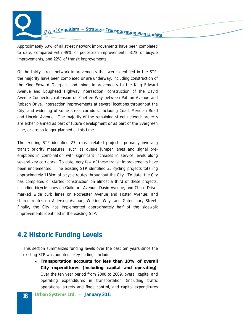

Approximately 60% of all street network improvements have been completed to date, compared with 49% of pedestrian improvements, 31% of bicycle improvements, and 22% of transit improvements.

Of the thirty street network improvements that were identified in the STP, the majority have been completed or are underway, including construction of the King Edward Overpass and minor improvements to the King Edward Avenue and Lougheed Highway intersection, construction of the David Avenue Connector, extension of Pinetree Way between Pathan Avenue and Robson Drive, intersection improvements at several locations throughout the City, and widening of some street corridors, including Coast Meridian Road and Lincoln Avenue. The majority of the remaining street network projects are either planned as part of future development or as part of the Evergreen Line, or are no longer planned at this time.

The existing STP identified 23 transit related projects, primarily involving transit priority measures, such as queue jumper lanes and signal preemptions in combination with significant increases in service levels along several key corridors. To date, very few of these transit improvements have been implemented. The existing STP identified 35 cycling projects totalling approximately 118km of bicycle routes throughout the City. To date, the City has completed or started construction on almost a third of these projects, including bicycle lanes on Guildford Avenue, David Avenue, and Chilco Drive; marked wide curb lanes on Rochester Avenue and Foster Avenue; and shared routes on Alderson Avenue, Whiting Way, and Gatensbury Street. Finally, the City has implemented approximately half of the sidewalk improvements identified in the existing STP.

#### **4.2 Historic Funding Levels**

This section summarizes funding levels over the past ten years since the existing STP was adopted. Key findings include:

**•** Transportation accounts for less than 10% of overall **City expenditures (including capital and operating)**. Over the ten year period from 2000 to 2009, overall capital and operating expenditures in transportation (including traffic operations, streets and flood control, and capital expenditures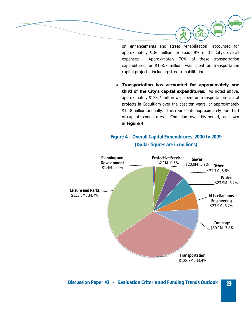

on enhancements and street rehabilitation) accounted for approximately \$180 million, or about 9% of the City's overall expenses. Approximately 70% of these transportation expenditures, or \$128.7 million, was spent on transportation capital projects, including street rehabilitation.

x **Transportation has accounted for approximately one third of the City's capital expenditures.** As noted above, approximately \$128.7 million was spent on transportation capital projects in Coquitlam over the past ten years, or approximately \$12.8 million annually. This represents approximately one third of capital expenditures in Coquitlam over this period, as shown in **Figure 4**.

#### **Figure 4 – Overall Capital Expenditures, 2000 to 2009 (Dollar figures are in millions)**

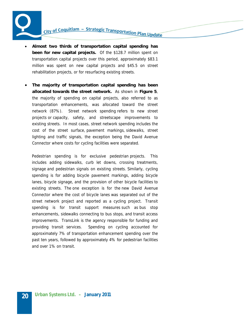

- x **Almost two thirds of transportation capital spending has been for new capital projects.** Of the \$128.7 million spent on transportation capital projects over this period, approximately \$83.1 million was spent on new capital projects and \$45.5 on street rehabilitation projects, or for resurfacing existing streets.
- The majority of transportation capital spending has been **allocated towards the street network.** As shown in **Figure 5**, the majority of spending on capital projects, also referred to as transportation enhancements, was allocated toward the street network (87%). Street network spending refers to new street projects or capacity, safety, and streetscape improvements to existing streets. In most cases, street network spending includes the cost of the street surface, pavement markings, sidewalks, street lighting and traffic signals, the exception being the David Avenue Connector where costs for cycling facilities were separated.

Pedestrian spending is for exclusive pedestrian projects. This includes adding sidewalks, curb let downs, crossing treatments, signage and pedestrian signals on existing streets. Similarly, cycling spending is for adding bicycle pavement markings, adding bicycle lanes, bicycle signage, and the provision of other bicycle facilities to existing streets. The one exception is for the new David Avenue Connector where the cost of bicycle lanes was separated out of the street network project and reported as a cycling project. Transit spending is for transit support measures such as bus stop enhancements, sidewalks connecting to bus stops, and transit access improvements. TransLink is the agency responsible for funding and providing transit services. Spending on cycling accounted for approximately 7% of transportation enhancement spending over the past ten years, followed by approximately 4% for pedestrian facilities and over 1% on transit.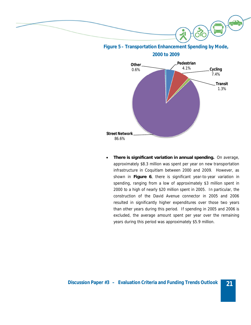

**Figure 5 – Transportation Enhancement Spending by Mode,**

**2000 to 2009**



x **There is significant variation in annual spending.** On average, approximately \$8.3 million was spent per year on new transportation infrastructure in Coquitlam between 2000 and 2009. However, as shown in **Figure 6**, there is significant year-to-year variation in spending, ranging from a low of approximately \$3 million spent in 2000 to a high of nearly \$20 million spent in 2005. In particular, the construction of the David Avenue connector in 2005 and 2006 resulted in significantly higher expenditures over those two years than other years during this period. If spending in 2005 and 2006 is excluded, the average amount spent per year over the remaining years during this period was approximately \$5.9 million.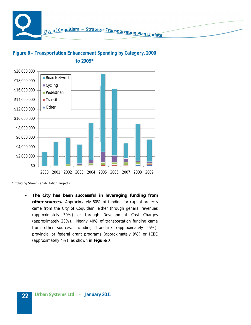

#### **Figure 6 – Transportation Enhancement Spending by Category, 2000 to 2009\***



\*Excluding Street Rehabilitation Projects

• The City has been successful in leveraging funding from **other sources.** Approximately 60% of funding for capital projects came from the City of Coquitlam, either through general revenues (approximately 39%) or through Development Cost Charges (approximately 23%). Nearly 40% of transportation funding came from other sources, including TransLink (approximately 25%), provincial or federal grant programs (approximately 9%) or ICBC (approximately 4%), as shown in **Figure 7**.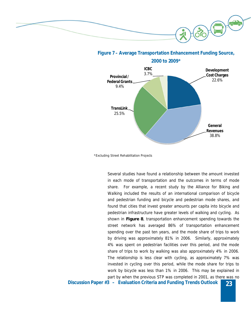



#### **Figure 7 – Average Transportation Enhancement Funding Source, 2000 to 2009\***

\*Excluding Street Rehabilitation Projects

Several studies have found a relationship between the amount invested in each mode of transportation and the outcomes in terms of mode share. For example, a recent study by the Alliance for Biking and Walking included the results of an international comparison of bicycle and pedestrian funding and bicycle and pedestrian mode shares, and found that cities that invest greater amounts per capita into bicycle and pedestrian infrastructure have greater levels of walking and cycling. As shown in **Figure 8**, transportation enhancement spending towards the street network has averaged 86% of transportation enhancement spending over the past ten years, and the mode share of trips to work by driving was approximately 81% in 2006. Similarly, approximately 4% was spent on pedestrian facilities over this period, and the mode share of trips to work by walking was also approximately 4% in 2006. The relationship is less clear with cycling, as approximately 7% was invested in cycling over this period, while the mode share for trips to work by bicycle was less than 1% in 2006. This may be explained in part by when the previous STP was completed in 2001, as there was no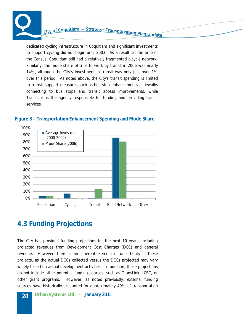

## City of Coquitlam - Strategic Transportation Plan Update

dedicated cycling infrastructure in Coquitlam and significant investments to support cycling did not begin until 2003. As a result, at the time of the Census, Coquitlam still had a relatively fragmented bicycle network. Similarly, the mode share of trips to work by transit in 2006 was nearly 14%, although the City's investment in transit was only just over 1% over this period. As noted above, the City's transit spending is limited to transit support measures such as bus stop enhancements, sidewalks connecting to bus stops and transit access improvements, while TransLink is the agency responsible for funding and providing transit services.



#### **Figure 8 – Transportation Enhancement Spending and Mode Share**

#### **4.3 Funding Projections**

The City has provided funding projections for the next 10 years, including projected revenues from Development Cost Charges (DCC) and general revenue. However, there is an inherent element of uncertainty in these projects, as the actual DCCs collected versus the DCCs projected may vary widely based on actual development activities. In addition, these projections do not include other potential funding sources, such as TransLink, ICBC, or other grant programs. However, as noted previously, external funding sources have historically accounted for approximately 40% of transportation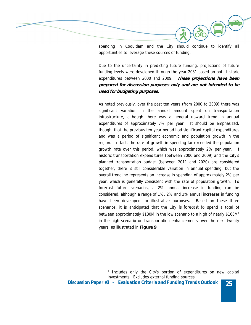

spending in Coquitlam and the City should continue to identify all opportunities to leverage these sources of funding.

Due to the uncertainty in predicting future funding, projections of future funding levels were developed through the year 2031 based on both historic expenditures between 2000 and 2009. **These projections have been prepared for discussion purposes only and are not intended to be used for budgeting purposes.**

As noted previously, over the past ten years (from 2000 to 2009) there was significant variation in the annual amount spent on transportation infrastructure, although there was a general upward trend in annual expenditures of approximately 7% per year. It should be emphasized, though, that the previous ten year period had significant capital expenditures and was a period of significant economic and population growth in the region. In fact, the rate of growth in spending far exceeded the population growth rate over this period, which was approximately 2% per year. If historic transportation expenditures (between 2000 and 2009) and the City's planned transportation budget (between 2011 and 2020) are considered together, there is still considerable variation in annual spending, but the overall trendline represents an increase in spending of approximately 2% per year, which is generally consistent with the rate of population growth. To forecast future scenarios, a 2% annual increase in funding can be considered, although a range of 1%, 2% and 3% annual increases in funding have been developed for illustrative purposes. Based on these three scenarios, it is anticipated that the City is forecast to spend a total of between approximately \$130M in the low scenario to a high of nearly \$160M<sup>4</sup> in the high scenario on transportation enhancements over the next twenty years, as illustrated in **Figure 9**.

<sup>&</sup>lt;sup>4</sup> Includes only the City's portion of expenditures on new capital investments. Excludes external funding sources.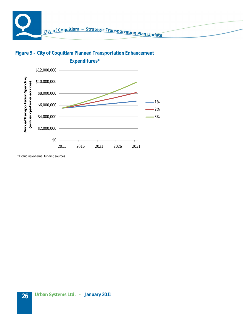





\*Excluding external funding sources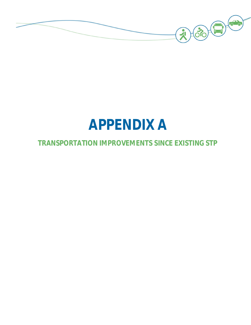

## **APPENDIX A**

**TRANSPORTATION IMPROVEMENTS SINCE EXISTING STP**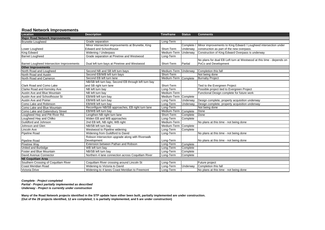#### **Road Network Improvements**

| Location                                  | <b>Description</b>                                   | <b>Timeframe</b> | <b>Status</b> | <b>Comments</b>                                                            |  |
|-------------------------------------------|------------------------------------------------------|------------------|---------------|----------------------------------------------------------------------------|--|
| <b>Major Road Network Improvements</b>    |                                                      |                  |               |                                                                            |  |
| <b>Brunette Lougheed</b>                  | Grade separation                                     | Long-Term        |               |                                                                            |  |
|                                           | Minor intersection improvements at Brunette, King    |                  |               | Complete / Minor improvements to King Edward / Lougheed intersection under |  |
| Lower Lougheed                            | Edward and Schoolhouse                               | Short-Term       | Underway      | construction as part of the new overpass.                                  |  |
| King Edward                               | Widening / Underpass                                 | Medium-Term      | Underway      | Construction of King Edward Overpass is underway                           |  |
| <b>Barnet Lougheed</b>                    | Grade separation at Pinetree and Westwood            | Long-Term        |               |                                                                            |  |
|                                           |                                                      |                  |               | No plans for dual EB Left turn at Westwood at this time - depends on       |  |
| Barnet Lougheed Intersection Improvements | Dual left turn bays at Pinetree and Westwood         | Short-Term       | Partial       | PoCo and Development                                                       |  |
| <b>Other Improvements</b>                 |                                                      |                  |               |                                                                            |  |
| North Road and Lougheed                   | Second NB and SB left turn bays                      | Medium-Term      | Underway      | Completion this fall                                                       |  |
| North Road and Austin                     | Second EB/WB left turn bays                          | Short-Term       |               | Not being done                                                             |  |
| North Road and Cameron                    | Second EB left turn lane                             | Medium-Term      | Complete      | <b>Burnaby Project</b>                                                     |  |
|                                           | NB/SB left turn bay, Second EB through left turn bay |                  |               |                                                                            |  |
| Clark Road and Como Lake                  | and SB right turn lane                               | Short-Term       |               | Tied to the Evergreen Project                                              |  |
| <b>Clarke Road and Kemsley Ave</b>        | NB left turn bay                                     | Long-Term        |               | Possible project tied to Evergreen Project                                 |  |
| Austin Ave and Blue Mountain              | NB left turn bay                                     | Medium-Term      |               | Functional Design complete for future work                                 |  |
| Austin Ave and Schoolhouse St             | EB/WB left turn bay                                  | Medium-Term      | Complete      |                                                                            |  |
| <b>Austin Ave and Poirier</b>             | EB/WB left turn bay                                  | Long-Term        | Underway      | Design complete, property acquisition underway                             |  |
| Como Lake and Robinson                    | EB/WB left turn bay                                  | Long-Term        | Underway      | Design complete, property acquisition underway                             |  |
| Como Lake and Blue Mountain               | Reconfigure NB/SB approaches, EB right turn lane     | Long-Term        |               | Not being done                                                             |  |
| Como Lake and Gatensbury Street           | EB/WB left turn bay                                  | Medium-Term      | Complete      | Done                                                                       |  |
| Lougheed Hwy and Pitt River Rd.           | Lengthen NB right turn lane                          | Short-Term       | Complete      | Done                                                                       |  |
| Lougheed Hwy and Chilko                   | Widen EB and WB approaches                           | Long-Term        | Complete      |                                                                            |  |
| Guildford and Johnson                     | 2nd EB left, NB right, WB right                      | Medium-Term      |               | No plans at this time - not being done                                     |  |
| Johnson and Glen                          | NB/SB left turn bay                                  | Medium-Term      | Complete      |                                                                            |  |
| Lincoln Ave                               | Westwood to Pipeline widening                        | Long-Term        | Complete      |                                                                            |  |
| <b>Pipeline Road</b>                      | Widening from Guildford to David                     | Long-Term        |               | No plans at this time - not being done                                     |  |
|                                           | Robson Intersection upgrade along with Riverwalk     |                  |               |                                                                            |  |
| <b>Pipeline Road</b>                      | Development                                          | Long-Term        |               | No plans at this time - not being done                                     |  |
| Pinetree Way                              | Extension between Pathan and Robson                  | Long-Term        | Complete      |                                                                            |  |
| United and Burbidge                       | WB left turn bay                                     | Long-Term        | Complete      |                                                                            |  |
| Foster and Blue Mountain                  | NB/SB left turn bay                                  | Long-Term        | Complete      |                                                                            |  |
| David Avenue Connector                    | Northern 4 lane connection across Coquitlam River    | Long-Term        | Complete      |                                                                            |  |
| <b>NE Coquitlam Area</b>                  |                                                      |                  |               |                                                                            |  |
| Southern Crossing of Coquitlam River      | Coquitlam River crossing around Lincoln St           | Long-Term        |               | Future project                                                             |  |
| Coast Meridian Road                       | Widening to Victoria to David                        | Long-Term        | Underway      | Completion this fall                                                       |  |
| Victoria Drive                            | Widening to 4 lanes Coast Meridian to Freemont       | Long-Term        |               | No plans at this time - not being done                                     |  |

*Complete - Project completed Partial - Project partially implemented as described Underway - Project is currently under construction*

**Many of the Road Network projects identified in the STP update have either been built, partially implemented are under construction. (Out of the 29 projects identified, 12 are completed, 1 is partially implemented, and 5 are under construction)**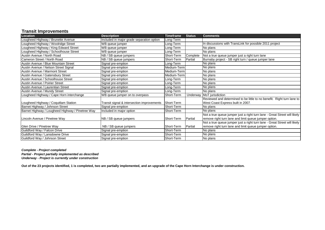#### **Transit Improvements**

| Location                                         | <b>Description</b>                         | <b>Timeframe</b> | <b>Status</b> | <b>Comments</b>                                                           |
|--------------------------------------------------|--------------------------------------------|------------------|---------------|---------------------------------------------------------------------------|
| Lougheed Highway / Brunette Avenue               | Included in major grade separation option  | Long-Term        |               |                                                                           |
| Lougheed Highway / Woolridge Street              | WB queue jumper                            | Long-Term        |               | In discussions with TransLink for possible 2011 project                   |
| Lougheed Highway / King Edward Street            | WB queue jumper                            | Long-Term        |               | No plans                                                                  |
| Lougheed Highway / Schoolhouse Street            | WB queue jumper                            | Long-Term        |               | No plans                                                                  |
| Austin Avenue / North Road                       | NB / SB queue jumpers                      | Short-Term       | Complete      | Not a true queue jumper just a right turn lane                            |
| Cameron Street / North Road                      | NB / SB queue jumpers                      | Short-Term       | Partial       | Burnaby project - SB right turn / queue jumper lane                       |
| Austin Avenue / Blue Mountain Street             | Signal pre-emption                         | Long-Term        |               | No plans                                                                  |
| Austin Avenue / Nelson Street Signal             | Signal pre-emption                         | Medium-Term      |               | No plans                                                                  |
| Austin Avenue / Marmont Street                   | Signal pre-emption                         | Medium-Term      |               | No plans                                                                  |
| Austin Avenue / Gatensbury Street                | Signal pre-emption                         | Medium-Term      |               | No plans                                                                  |
| Austin Avenue / Schoolhouse Street               | Signal pre-emption                         | Long-Term        |               | No plans                                                                  |
| Austin Avenue / Poirier Street                   | Signal pre-emption                         | Long-Term        |               | No plans                                                                  |
| Austin Avenue / Laurentian Street                | Signal pre-emption                         | Long-Term        |               | No plans                                                                  |
| Austin Avenue / Mundy Street                     | Signal pre-emption                         | Long-Term        |               | No plans                                                                  |
| Lougheed Highway / Cape Horn interchange         | WB queue jumper on to overpass             | Short-Term       | Underway      | MoT jurisdiction                                                          |
|                                                  |                                            |                  |               | Reviewed and determined to be little to no benefit. Right turn lane to    |
| Lougheed Highway / Coquitlam Station             | Transit signal & intersection improvements | Short-Term       |               | West Coast Express built in 2007.                                         |
| Barnet Highway / Johnson Street                  | Signal pre-emption                         | Short-Term       |               | No plans                                                                  |
| Barnet Highway / Lougheed Highway / Pinetree Way | Included in major option                   | Short-Term       |               | No plans                                                                  |
|                                                  |                                            |                  |               | Not a true queue jumper just a right turn lane - Great Street will likely |
| Lincoln Avenue / Pinetree Way                    | NB / SB queue jumpers                      | Short-Term       | Partial       | remove right turn lane and limit queue jumper option.                     |
|                                                  |                                            |                  |               | Not a true queue jumper just a right turn lane - Great Street will likely |
| Glen Drive / Pinetree Way                        | NB / SB queue jumpers                      | Short-Term       | Partial       | remove right turn lane and limit queue jumper option.                     |
| Guildford Way / Falcon Drive                     | Signal pre-emption                         | Short-Term       |               | No plans                                                                  |
| Guildford Way / Lansdowne Drive                  | Signal pre-emption                         | Short-Term       |               | No plans                                                                  |
| Guildford Way / Johnson Street                   | Signal pre-emption                         | Short-Term       |               | No plans                                                                  |

#### *Complete - Project completed*

*Partial - Project partially implemented as described*

*Underway - Project is currently under construction*

**Out of the 23 projects identified, 1 is completed, two are partially implemented, and an upgrade of the Cape Horn Interchange is under construction.**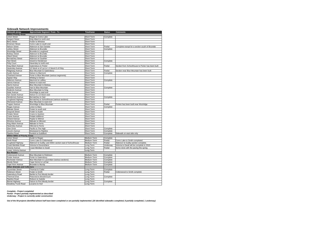| Sidewalk Network Improvements                  |                                                          |                            |                      |                                                    |  |  |
|------------------------------------------------|----------------------------------------------------------|----------------------------|----------------------|----------------------------------------------------|--|--|
| Sidewalk along:                                | Approximate Segment From - To                            | <b>Timeframe</b>           | <b>Status</b>        | <b>Comments</b>                                    |  |  |
| <b>Within Priority Areas</b>                   |                                                          |                            |                      |                                                    |  |  |
| <b>Linton Street</b>                           | Regan to Como Lake                                       | Short-Term                 | Complete             |                                                    |  |  |
| <b>Sargent Street</b>                          | King Albert to north end                                 | Short-Term                 |                      |                                                    |  |  |
| <b>Berry Street</b>                            | Foster to Winslow                                        | Short-Term                 |                      |                                                    |  |  |
| <b>Emerson Street</b>                          | Como Lake to south end                                   | Short-Term                 |                      |                                                    |  |  |
| <b>Nelson Street</b>                           | Alderson to San Daniele                                  | Short-Term                 | Partial              | Complete except for a section south of Brunette    |  |  |
| Lebleu Street                                  | Alderson to Brunette                                     | Short-Term                 | Complete             |                                                    |  |  |
| <b>Woolridge Street</b>                        | Brunette to Lougheed                                     | Short-Term                 |                      |                                                    |  |  |
| <b>Boileau Street</b>                          | Alderson to Brunette                                     | Short-Term                 |                      |                                                    |  |  |
| <b>Allard Street</b>                           | Alderson to Brunette                                     | Short-Term                 |                      |                                                    |  |  |
| <b>Bernatchey Street</b>                       | Alderson to Gauthier                                     | Short-Term                 |                      |                                                    |  |  |
| <b>Hart Street</b>                             | Girard to Henderson                                      | Short-Term                 | Complete             |                                                    |  |  |
| <b>Firby Court</b>                             | Haversley to north end                                   | Short-Term                 |                      |                                                    |  |  |
| King Albert Avenue                             | Gatensbury to Poirier                                    | Short-Term                 | Partial              | Section from Schoolhouse to Poirier has been built |  |  |
| <b>Haversley Avenue</b>                        | 1/2 block w of Lyn to 1.2 block E of Firby               | Short-Term                 |                      |                                                    |  |  |
| Ridgeway Avenue                                | Blue Mountain to Gatensbury                              | Short-Term                 | Partial              | Section near Blue Mountain has been built          |  |  |
| Austin Avenue                                  | Nelson to Marmont                                        | Short-Term                 | Complete             |                                                    |  |  |
| Charland Avenue                                | Porier to Blue Mountain (various segments)               | Short-Term                 |                      |                                                    |  |  |
| Appian Way                                     | Whiting to Denton                                        | Short-Term                 |                      |                                                    |  |  |
| Alderson Avenue                                | Marmont to LeBleu                                        | Short-Term                 | Complete             |                                                    |  |  |
| James Avenue                                   | Nelson to east end                                       | Short-Term                 |                      |                                                    |  |  |
| Harris Avenue                                  | Blue Mountain to Boileau                                 | Short-Term                 |                      |                                                    |  |  |
| Gauthier Avenue                                | Hart to Blue Mountain                                    | Short-Term                 | Complete             |                                                    |  |  |
| Roderick Avenue                                | <b>Blue Mountain to King</b>                             | Short-Term                 |                      |                                                    |  |  |
| Adair Avenue                                   | Woolridge to east end                                    | Short-Term                 |                      |                                                    |  |  |
| San Daniel Avenue                              | Nelson to 1/2 block east                                 | Short-Term                 |                      |                                                    |  |  |
| Henderson Avenue                               | Bernatchev to Hart                                       | Short-Term                 | Complete             |                                                    |  |  |
| Lougheed Highway                               | Bernatchey to Schoolhouse (various sections)             | Short-Term                 |                      |                                                    |  |  |
| Sherwood Avenue                                | Blue Mountain to east end                                | Short-Term                 |                      |                                                    |  |  |
| <b>Tupper Avenue</b>                           | Woolridge to Blue Mountain                               | Short-Term                 | Partial              | Portion has been built near Woolridge              |  |  |
| Regan Avenue                                   | Linton to Mars                                           | Short-Term                 | Complete             |                                                    |  |  |
| Midvale Street                                 | Foster to south end                                      | Short-Term                 |                      |                                                    |  |  |
| <b>Draycott Street</b>                         | Foster to Austin                                         | Short-Term                 |                      |                                                    |  |  |
| <b>Firdale Street</b>                          | Crane to Quinton                                         | Short-Term                 |                      |                                                    |  |  |
| Crane Avenue                                   | Firdale toWilmot                                         | Short-Term                 |                      |                                                    |  |  |
| Orland Avenue                                  | Poplar to Wilmot                                         | Short-Term                 |                      |                                                    |  |  |
| <b>Winslow Avenue</b>                          | Midvale to Hillcrest                                     | Short-Term                 |                      |                                                    |  |  |
|                                                |                                                          |                            |                      |                                                    |  |  |
| King Albert Avenue<br>Haversley Avenue         | Midvale to Ferris<br>Hillcrest to Ferris                 | Short-Term<br>Short-Term   |                      |                                                    |  |  |
| Glen Drive                                     | Pacific to The High                                      | Short-Term                 | Complete             |                                                    |  |  |
| Lincoln Avenue                                 | Westwood to Pipeline                                     | Short-Term                 | Complete             |                                                    |  |  |
|                                                | Dunkirk to Guildford                                     |                            |                      |                                                    |  |  |
| Pipeline Road<br>Within 500m of Priority Areas |                                                          | Short-Term                 | Complete             | Sidewalk on east side only                         |  |  |
| <b>Linton Street</b>                           |                                                          | Medium-Term                |                      |                                                    |  |  |
| North Road                                     | Austin to Regan<br>Como Lake to Cottonwood               | Medium-Term                | Complete<br>Partial  | Como Lake to Smith completed                       |  |  |
| Lougheed Highway                               | Alderson to Guilby; and 400m section east of Schoolhouse | Medium-Term                | Partial              | Alderson to Guilby section complete.               |  |  |
| Coast Meridian Road                            | Victoria to Devonshiere                                  | Long-Term                  | Underway             | Victoria to David will be complete in 2010         |  |  |
|                                                |                                                          |                            |                      |                                                    |  |  |
| Victoria Avenue<br>Lower Victoria Avenue       | Coast Meridian to David                                  | Long-Term<br>Long-Term     | Partial              | Some done with the paving this spring              |  |  |
| <b>Bus Routes</b>                              |                                                          |                            |                      |                                                    |  |  |
|                                                |                                                          |                            |                      |                                                    |  |  |
| Cottonwood Avenue<br>Foster Avenue             | Blue Mountain to Robinson<br>Porter to Gatensbury        | Medium-Term<br>Medium-Term | Complete<br>Complete |                                                    |  |  |
|                                                |                                                          |                            |                      |                                                    |  |  |
| Rochester Avenue                               | Blue Mountain to Laurentian (various sections)           | Medium-Term                | Complete             |                                                    |  |  |
| Mundy Street                                   | Cape Horne to LeClair                                    | Medium-Term<br>Medium-Term | Complete             |                                                    |  |  |
| Cape Horn Avenue                               | <b>Brunette to Mundy</b>                                 |                            | Complete             |                                                    |  |  |
| <b>Other Arterials and Collectors</b>          |                                                          |                            |                      |                                                    |  |  |
| Laurentian Street                              | Thomas to Cutler                                         | Long-Term                  | Complete             |                                                    |  |  |
| Robinson Street                                | Foster to Smith                                          | Long-Term                  | Partial              | Cottonwood to Smith complete                       |  |  |
| Gatensbury Road                                | Bartlet to Port Moody border                             | .ong-Term                  |                      |                                                    |  |  |
| <b>Thermal Drive</b>                           | Pinecrest to Brookmount                                  | _ong-Term                  | Complete             |                                                    |  |  |
| Pipeline Road                                  | Robson to Galette                                        | .ong-Term                  |                      |                                                    |  |  |
| <b>Barnet Highway</b>                          | Falcon to Port Moody border                              | Long-Term                  | Complete             |                                                    |  |  |
| Dewdney Trunk Road                             | Locarno to Hull                                          | Long-Term                  |                      |                                                    |  |  |

*Complete - Project completed Partial - Project partially implemented as described Underway - Project is currently under construction*

*Out of the 59 projects identified almost half have been completed or are partially implemented. (20 identified sidewalks completed, 8 partially completed, 1 underway)*